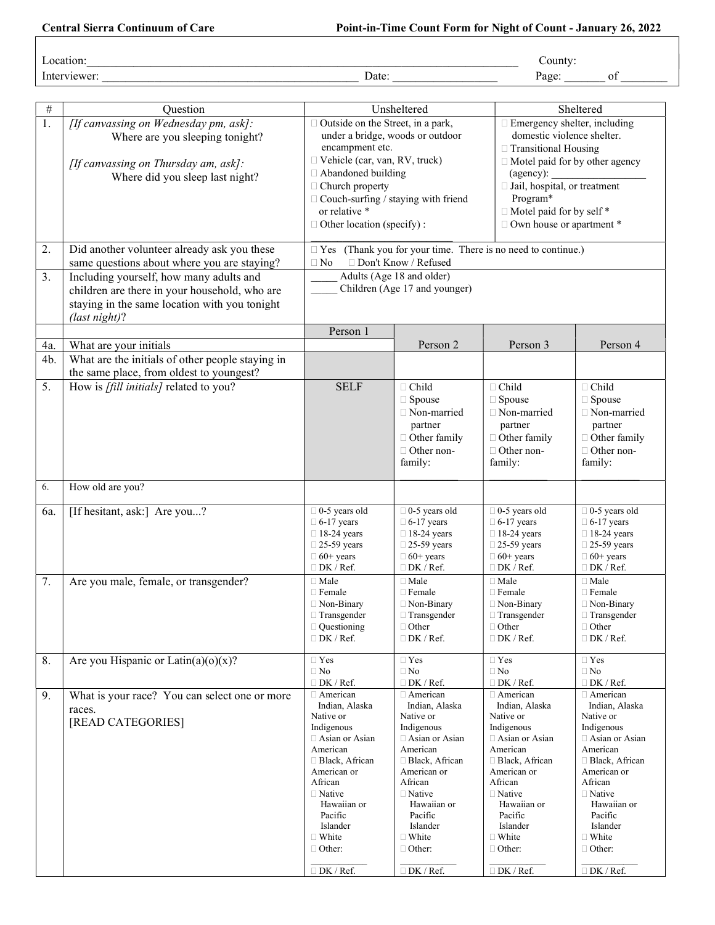| _<br>$\sim$<br>∟ocation <sup>.</sup> |  |
|--------------------------------------|--|
|                                      |  |

Interviewer: \_\_\_\_\_\_\_\_\_\_\_\_\_\_\_\_\_\_\_\_\_\_\_\_\_\_\_\_\_\_\_\_\_\_\_\_\_\_\_\_\_\_\_\_ Date: \_\_\_\_\_\_\_\_\_\_\_\_\_\_\_\_\_\_ Page: \_\_\_\_\_\_\_ of \_\_\_\_\_\_\_\_

| $\#$ | Question                                         | Unsheltered                                                         |                                        |                                        | Sheltered                              |  |
|------|--------------------------------------------------|---------------------------------------------------------------------|----------------------------------------|----------------------------------------|----------------------------------------|--|
| 1.   | [If canvassing on Wednesday pm, ask]:            | $\Box$ Outside on the Street, in a park,                            |                                        |                                        | $\Box$ Emergency shelter, including    |  |
|      | Where are you sleeping tonight?                  | under a bridge, woods or outdoor                                    |                                        |                                        | domestic violence shelter.             |  |
|      |                                                  | encampment etc.                                                     |                                        |                                        | $\Box$ Transitional Housing            |  |
|      | [If canvassing on Thursday am, ask]:             |                                                                     | □ Vehicle (car, van, RV, truck)        |                                        | $\Box$ Motel paid for by other agency  |  |
|      | Where did you sleep last night?                  | □ Abandoned building                                                |                                        | (agency):                              |                                        |  |
|      |                                                  | □ Church property                                                   |                                        | I Jail, hospital, or treatment         |                                        |  |
|      |                                                  | $\Box$ Couch-surfing / staying with friend                          |                                        | Program*                               |                                        |  |
|      |                                                  | or relative *                                                       |                                        | □ Motel paid for by self *             |                                        |  |
|      |                                                  | $\Box$ Other location (specify) :                                   |                                        | □ Own house or apartment *             |                                        |  |
| 2.   | Did another volunteer already ask you these      | $\Box$ Yes (Thank you for your time. There is no need to continue.) |                                        |                                        |                                        |  |
|      | same questions about where you are staying?      | □ Don't Know / Refused<br>$\Box$ No                                 |                                        |                                        |                                        |  |
| 3.   | Including yourself, how many adults and          | Adults (Age 18 and older)                                           |                                        |                                        |                                        |  |
|      | children are there in your household, who are    | Children (Age 17 and younger)                                       |                                        |                                        |                                        |  |
|      | staying in the same location with you tonight    |                                                                     |                                        |                                        |                                        |  |
|      | (last night)?                                    |                                                                     |                                        |                                        |                                        |  |
|      |                                                  | Person 1                                                            |                                        |                                        |                                        |  |
| 4a.  | What are your initials                           |                                                                     | Person 2                               | Person 3                               | Person 4                               |  |
| 4b.  | What are the initials of other people staying in |                                                                     |                                        |                                        |                                        |  |
|      | the same place, from oldest to youngest?         |                                                                     |                                        |                                        |                                        |  |
| 5.   | How is [fill initials] related to you?           | <b>SELF</b>                                                         | $\Box$ Child                           | $\Box$ Child                           | $\Box$ Child                           |  |
|      |                                                  |                                                                     | $\Box$ Spouse                          | $\Box$ Spouse                          | $\Box$ Spouse                          |  |
|      |                                                  |                                                                     | □ Non-married                          | □ Non-married                          | □ Non-married                          |  |
|      |                                                  |                                                                     | partner                                | partner                                | partner                                |  |
|      |                                                  |                                                                     | $\Box$ Other family                    | $\Box$ Other family                    | □ Other family                         |  |
|      |                                                  |                                                                     | $\Box$ Other non-                      | $\Box$ Other non-                      | □ Other non-                           |  |
|      |                                                  |                                                                     | family:                                | family:                                | family:                                |  |
| 6.   |                                                  |                                                                     |                                        |                                        |                                        |  |
|      | How old are you?                                 |                                                                     |                                        |                                        |                                        |  |
| 6a.  | [If hesitant, ask:] Are you?                     | $\Box$ 0-5 years old                                                | $\Box$ 0-5 years old                   | $\Box$ 0-5 years old                   | $\Box$ 0-5 years old                   |  |
|      |                                                  | $\Box$ 6-17 years                                                   | $\Box$ 6-17 years                      | $\Box$ 6-17 years                      | $\Box$ 6-17 years                      |  |
|      |                                                  | $\Box$ 18-24 years                                                  | $\Box$ 18-24 years                     | $\Box$ 18-24 years                     | $\Box$ 18-24 years                     |  |
|      |                                                  | $\Box$ 25-59 years<br>$\Box 60+$ years                              | $\Box$ 25-59 years<br>$\Box$ 60+ years | $\Box$ 25-59 years<br>$\Box$ 60+ years | $\Box$ 25-59 years<br>$\Box$ 60+ years |  |
|      |                                                  | $\Box$ DK / Ref.                                                    | $\Box$ DK / Ref.                       | $\Box$ DK / Ref.                       | $\Box$ DK / Ref.                       |  |
| 7.   | Are you male, female, or transgender?            | $\Box$ Male                                                         | $\Box$ Male                            | $\Box$ Male                            | $\Box$ Male                            |  |
|      |                                                  | $\Box$ Female                                                       | $\Box$ Female                          | $\Box$ Female                          | $\Box$ Female                          |  |
|      |                                                  | □ Non-Binary                                                        | □ Non-Binary                           | □ Non-Binary                           | □ Non-Binary                           |  |
|      |                                                  | $\Box$ Transgender                                                  | □ Transgender                          | $\Box$ Transgender                     | □ Transgender                          |  |
|      |                                                  | $\Box$ Questioning                                                  | $\Box$ Other                           | $\Box$ Other                           | $\Box$ Other                           |  |
|      |                                                  | $\Box$ DK / Ref.                                                    | $\Box$ DK / Ref.                       | $\Box$ DK / Ref.                       | $\Box$ DK / Ref.                       |  |
| 8.   | Are you Hispanic or Latin(a)(o)(x)?              | $\Box$ Yes                                                          | $\Box$ Yes                             | $\hfill\Box$<br>Yes                    | $\Box$ Yes                             |  |
|      |                                                  | $\Box$ No                                                           | $\Box$ No                              | $\Box$ No                              | $\Box$ No                              |  |
| 9.   | What is your race? You can select one or more    | $\Box$ DK / Ref.<br>□ American                                      | $\square$<br>DK $/$ Ref.<br>□ American | $\Box$ DK / Ref.<br>□ American         | $\Box$ DK / Ref.<br>□ American         |  |
|      | races.                                           | Indian, Alaska                                                      | Indian, Alaska                         | Indian, Alaska                         | Indian, Alaska                         |  |
|      | [READ CATEGORIES]                                | Native or                                                           | Native or                              | Native or                              | Native or                              |  |
|      |                                                  | Indigenous                                                          | Indigenous                             | Indigenous                             | Indigenous                             |  |
|      |                                                  | □ Asian or Asian<br>American                                        | □ Asian or Asian<br>American           | Asian or Asian<br>American             | □ Asian or Asian<br>American           |  |
|      |                                                  | □ Black, African                                                    | □ Black, African                       | □ Black, African                       | □ Black, African                       |  |
|      |                                                  | American or                                                         | American or                            | American or                            | American or                            |  |
|      |                                                  | African                                                             | African                                | African                                | African                                |  |
|      |                                                  | $\Box$ Native                                                       | $\Box$ Native                          | $\Box$ Native                          | $\Box$ Native                          |  |
|      |                                                  | Hawaiian or<br>Pacific                                              | Hawaiian or<br>Pacific                 | Hawaiian or<br>Pacific                 | Hawaiian or<br>Pacific                 |  |
|      |                                                  | Islander                                                            | Islander                               | Islander                               | Islander                               |  |
|      |                                                  | $\Box$ White                                                        | $\Box$ White                           | $\Box$ White                           | $\Box$ White                           |  |
|      |                                                  | $\Box$ Other:                                                       | $\Box$ Other:                          | $\Box$ Other:                          | $\Box$ Other:                          |  |
|      |                                                  |                                                                     |                                        |                                        |                                        |  |
|      |                                                  | DK / Ref.                                                           | $\Box$ DK / Ref.                       | DK / Ref.                              | $\Box$ DK / Ref.                       |  |